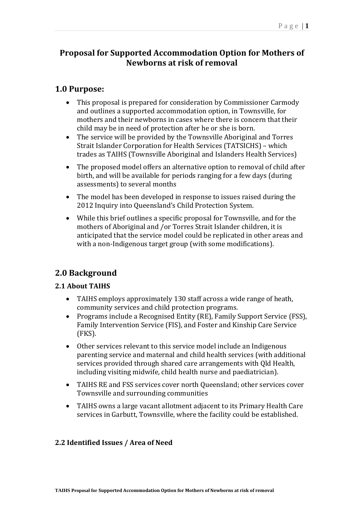# **Proposal for Supported Accommodation Option for Mothers of Newborns at risk of removal**

### **1.0 Purpose:**

- This proposal is prepared for consideration by Commissioner Carmody and outlines a supported accommodation option, in Townsville, for mothers and their newborns in cases where there is concern that their child may be in need of protection after he or she is born.
- The service will be provided by the Townsville Aboriginal and Torres Strait Islander Corporation for Health Services (TATSICHS) – which trades as TAIHS (Townsville Aboriginal and Islanders Health Services)
- The proposed model offers an alternative option to removal of child after birth, and will be available for periods ranging for a few days (during assessments) to several months
- The model has been developed in response to issues raised during the 2012 Inquiry into Queensland's Child Protection System.
- While this brief outlines a specific proposal for Townsville, and for the mothers of Aboriginal and /or Torres Strait Islander children, it is anticipated that the service model could be replicated in other areas and with a non-Indigenous target group (with some modifications).

# **2.0 Background**

#### **2.1 About TAIHS**

- TAIHS employs approximately 130 staff across a wide range of heath, community services and child protection programs.
- Programs include a Recognised Entity (RE), Family Support Service (FSS), Family Intervention Service (FIS), and Foster and Kinship Care Service (FKS).
- Other services relevant to this service model include an Indigenous parenting service and maternal and child health services (with additional services provided through shared care arrangements with Qld Health, including visiting midwife, child health nurse and paediatrician).
- TAIHS RE and FSS services cover north Queensland; other services cover Townsville and surrounding communities
- TAIHS owns a large vacant allotment adjacent to its Primary Health Care services in Garbutt, Townsville, where the facility could be established.

#### **2.2 Identified Issues / Area of Need**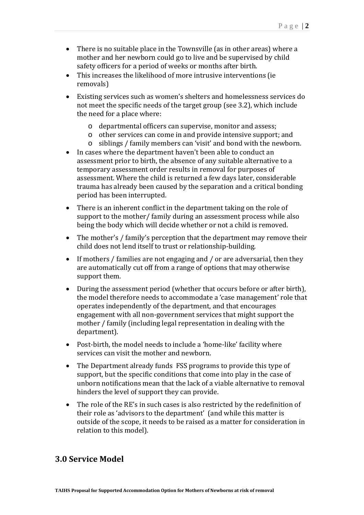- There is no suitable place in the Townsville (as in other areas) where a mother and her newborn could go to live and be supervised by child safety officers for a period of weeks or months after birth.
- This increases the likelihood of more intrusive interventions (ie removals)
- Existing services such as women's shelters and homelessness services do not meet the specific needs of the target group (see 3.2), which include the need for a place where:
	- o departmental officers can supervise, monitor and assess;
	- o other services can come in and provide intensive support; and
	- o siblings / family members can 'visit' and bond with the newborn.
- In cases where the department haven't been able to conduct an assessment prior to birth, the absence of any suitable alternative to a temporary assessment order results in removal for purposes of assessment. Where the child is returned a few days later, considerable trauma has already been caused by the separation and a critical bonding period has been interrupted.
- There is an inherent conflict in the department taking on the role of support to the mother/ family during an assessment process while also being the body which will decide whether or not a child is removed.
- The mother's / family's perception that the department may remove their child does not lend itself to trust or relationship‐building.
- If mothers / families are not engaging and / or are adversarial, then they are automatically cut off from a range of options that may otherwise support them.
- During the assessment period (whether that occurs before or after birth), the model therefore needs to accommodate a 'case management' role that operates independently of the department, and that encourages engagement with all non‐government services that might support the mother / family (including legal representation in dealing with the department).
- Post-birth, the model needs to include a 'home-like' facility where services can visit the mother and newborn.
- The Department already funds FSS programs to provide this type of support, but the specific conditions that come into play in the case of unborn notifications mean that the lack of a viable alternative to removal hinders the level of support they can provide.
- The role of the RE's in such cases is also restricted by the redefinition of their role as 'advisors to the department' (and while this matter is outside of the scope, it needs to be raised as a matter for consideration in relation to this model).

# **3.0 Service Model**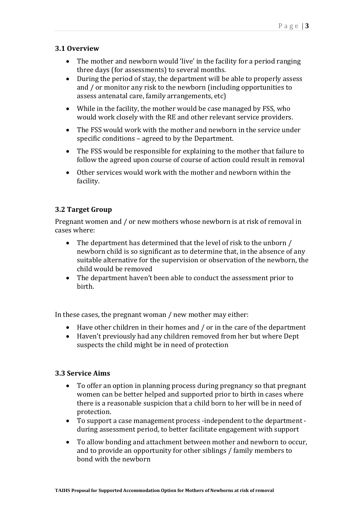#### **3.1 Overview**

- The mother and newborn would 'live' in the facility for a period ranging three days (for assessments) to several months.
- During the period of stay, the department will be able to properly assess and / or monitor any risk to the newborn (including opportunities to assess antenatal care, family arrangements, etc)
- While in the facility, the mother would be case managed by FSS, who would work closely with the RE and other relevant service providers.
- The FSS would work with the mother and newborn in the service under specific conditions – agreed to by the Department.
- The FSS would be responsible for explaining to the mother that failure to follow the agreed upon course of course of action could result in removal
- Other services would work with the mother and newborn within the facility.

#### **3.2 Target Group**

Pregnant women and / or new mothers whose newborn is at risk of removal in cases where:

- The department has determined that the level of risk to the unborn / newborn child is so significant as to determine that, in the absence of any suitable alternative for the supervision or observation of the newborn, the child would be removed
- The department haven't been able to conduct the assessment prior to birth.

In these cases, the pregnant woman / new mother may either:

- Have other children in their homes and / or in the care of the department
- Haven't previously had any children removed from her but where Dept suspects the child might be in need of protection

#### **3.3 Service Aims**

- To offer an option in planning process during pregnancy so that pregnant women can be better helped and supported prior to birth in cases where there is a reasonable suspicion that a child born to her will be in need of protection.
- To support a case management process ‐independent to the department ‐ during assessment period, to better facilitate engagement with support
- To allow bonding and attachment between mother and newborn to occur, and to provide an opportunity for other siblings / family members to bond with the newborn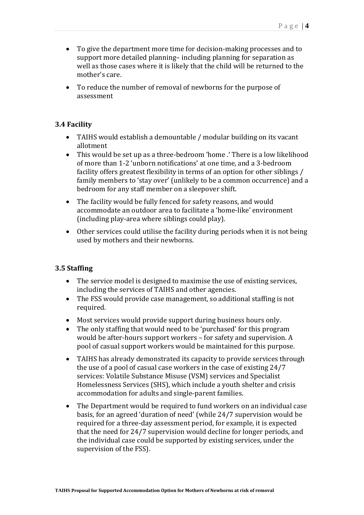- To give the department more time for decision‐making processes and to support more detailed planning– including planning for separation as well as those cases where it is likely that the child will be returned to the mother's care.
- To reduce the number of removal of newborns for the purpose of assessment

#### **3.4 Facility**

- TAIHS would establish a demountable / modular building on its vacant allotment
- This would be set up as a three‐bedroom 'home .' There is a low likelihood of more than 1‐2 'unborn notifications' at one time, and a 3‐bedroom facility offers greatest flexibility in terms of an option for other siblings / family members to 'stay over' (unlikely to be a common occurrence) and a bedroom for any staff member on a sleepover shift.
- The facility would be fully fenced for safety reasons, and would accommodate an outdoor area to facilitate a 'home‐like' environment (including play‐area where siblings could play).
- Other services could utilise the facility during periods when it is not being used by mothers and their newborns.

#### **3.5 Staffing**

- The service model is designed to maximise the use of existing services, including the services of TAIHS and other agencies.
- The FSS would provide case management, so additional staffing is not required.
- Most services would provide support during business hours only.
- The only staffing that would need to be 'purchased' for this program would be after-hours support workers – for safety and supervision. A pool of casual support workers would be maintained for this purpose.
- TAIHS has already demonstrated its capacity to provide services through the use of a pool of casual case workers in the case of existing 24/7 services: Volatile Substance Misuse (VSM) services and Specialist Homelessness Services (SHS), which include a youth shelter and crisis accommodation for adults and single‐parent families.
- The Department would be required to fund workers on an individual case basis, for an agreed 'duration of need' (while 24/7 supervision would be required for a three‐day assessment period, for example, it is expected that the need for 24/7 supervision would decline for longer periods, and the individual case could be supported by existing services, under the supervision of the FSS).